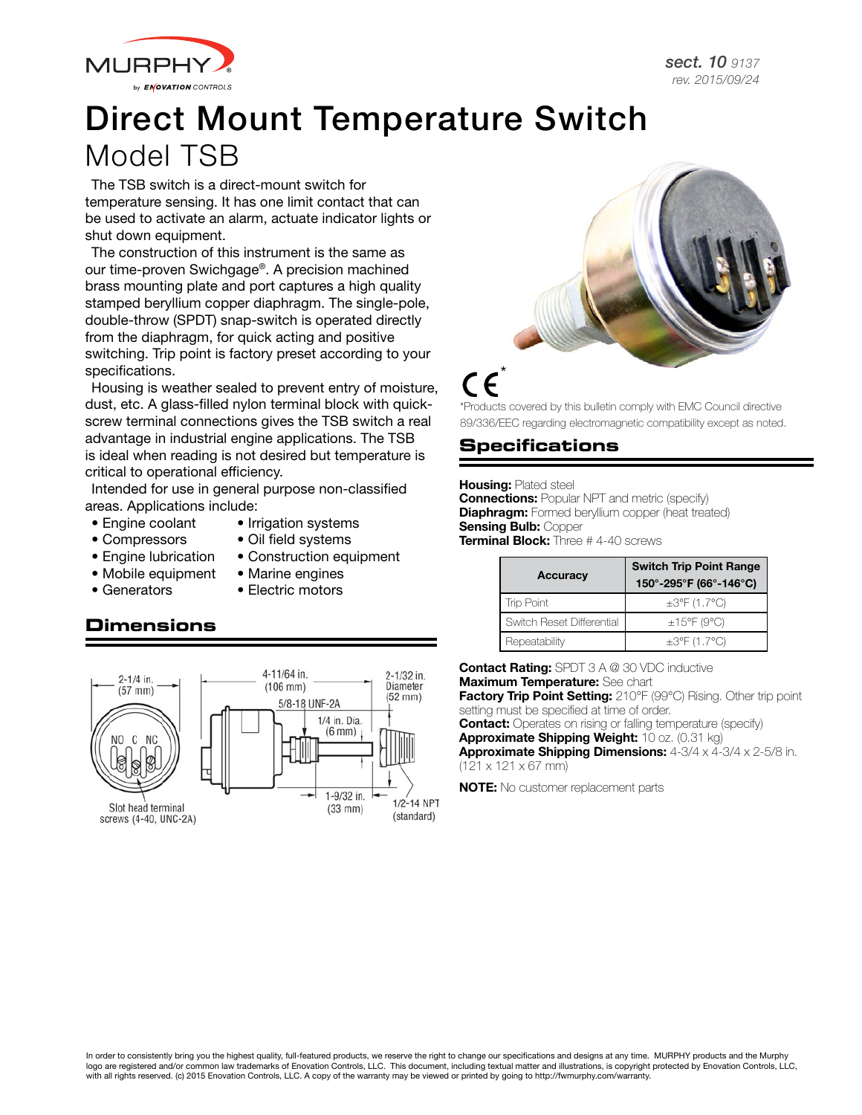

# Direct Mount Temperature Switch Model TSB

The TSB switch is a direct-mount switch for temperature sensing. It has one limit contact that can be used to activate an alarm, actuate indicator lights or shut down equipment.

The construction of this instrument is the same as our time-proven Swichgage®. A precision machined brass mounting plate and port captures a high quality stamped beryllium copper diaphragm. The single-pole, double-throw (SPDT) snap-switch is operated directly from the diaphragm, for quick acting and positive switching. Trip point is factory preset according to your specifications.

Housing is weather sealed to prevent entry of moisture, dust, etc. A glass-filled nylon terminal block with quickscrew terminal connections gives the TSB switch a real advantage in industrial engine applications. The TSB is ideal when reading is not desired but temperature is critical to operational efficiency.

Intended for use in general purpose non-classified areas. Applications include:

- Engine coolant Irrigation systems
	-
- Compressors Oil field systems
- Engine lubrication Construction equipment
- Mobile equipment Marine engines
- Generators Electric motors

### **Dimensions**





## $\epsilon$

\*Products covered by this bulletin comply with EMC Council directive 89/336/EEC regarding electromagnetic compatibility except as noted.

#### **Specifications**

#### **Housing: Plated steel**

**Connections:** Popular NPT and metric (specify) **Diaphragm:** Formed beryllium copper (heat treated) **Sensing Bulb: Copper Terminal Block:** Three # 4-40 screws

| Accuracy                  | <b>Switch Trip Point Range</b><br>150°-295°F (66°-146°C) |
|---------------------------|----------------------------------------------------------|
| Trip Point                | $\pm 3^{\circ}$ F (1.7°C)                                |
| Switch Reset Differential | $\pm$ 15°F (9°C)                                         |
| Repeatability             | $\pm 3^{\circ}$ F (1.7°C)                                |

**Contact Rating:** SPDT 3 A @ 30 VDC inductive **Maximum Temperature:** See chart

Factory Trip Point Setting: 210°F (99°C) Rising. Other trip point setting must be specified at time of order.

**Contact:** Operates on rising or falling temperature (specify) Approximate Shipping Weight: 10 oz. (0.31 kg) Approximate Shipping Dimensions: 4-3/4 x 4-3/4 x 2-5/8 in. (121 x 121 x 67 mm)

NOTE: No customer replacement parts